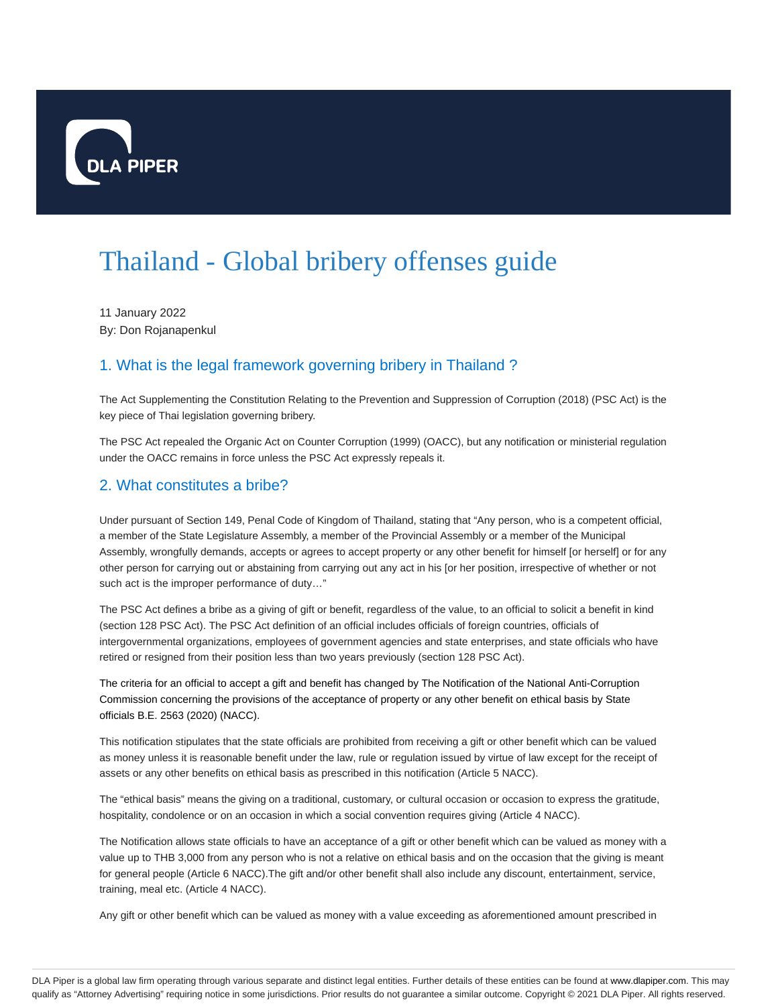

# Thailand - Global bribery offenses guide

11 January 2022 By: Don Rojanapenkul

# 1. What is the legal framework governing bribery in Thailand ?

The Act Supplementing the Constitution Relating to the Prevention and Suppression of Corruption (2018) (PSC Act) is the key piece of Thai legislation governing bribery.

The PSC Act repealed the Organic Act on Counter Corruption (1999) (OACC), but any notification or ministerial regulation under the OACC remains in force unless the PSC Act expressly repeals it.

#### 2. What constitutes a bribe?

Under pursuant of Section 149, Penal Code of Kingdom of Thailand, stating that "Any person, who is a competent official, a member of the State Legislature Assembly, a member of the Provincial Assembly or a member of the Municipal Assembly, wrongfully demands, accepts or agrees to accept property or any other benefit for himself [or herself] or for any other person for carrying out or abstaining from carrying out any act in his [or her position, irrespective of whether or not such act is the improper performance of duty…"

The PSC Act defines a bribe as a giving of gift or benefit, regardless of the value, to an official to solicit a benefit in kind (section 128 PSC Act). The PSC Act definition of an official includes officials of foreign countries, officials of intergovernmental organizations, employees of government agencies and state enterprises, and state officials who have retired or resigned from their position less than two years previously (section 128 PSC Act).

The criteria for an official to accept a gift and benefit has changed by The Notification of the National Anti-Corruption Commission concerning the provisions of the acceptance of property or any other benefit on ethical basis by State officials B.E. 2563 (2020) (NACC).

This notification stipulates that the state officials are prohibited from receiving a gift or other benefit which can be valued as money unless it is reasonable benefit under the law, rule or regulation issued by virtue of law except for the receipt of assets or any other benefits on ethical basis as prescribed in this notification (Article 5 NACC).

The "ethical basis" means the giving on a traditional, customary, or cultural occasion or occasion to express the gratitude, hospitality, condolence or on an occasion in which a social convention requires giving (Article 4 NACC).

The Notification allows state officials to have an acceptance of a gift or other benefit which can be valued as money with a value up to THB 3,000 from any person who is not a relative on ethical basis and on the occasion that the giving is meant for general people (Article 6 NACC).The gift and/or other benefit shall also include any discount, entertainment, service, training, meal etc. (Article 4 NACC).

Any gift or other benefit which can be valued as money with a value exceeding as aforementioned amount prescribed in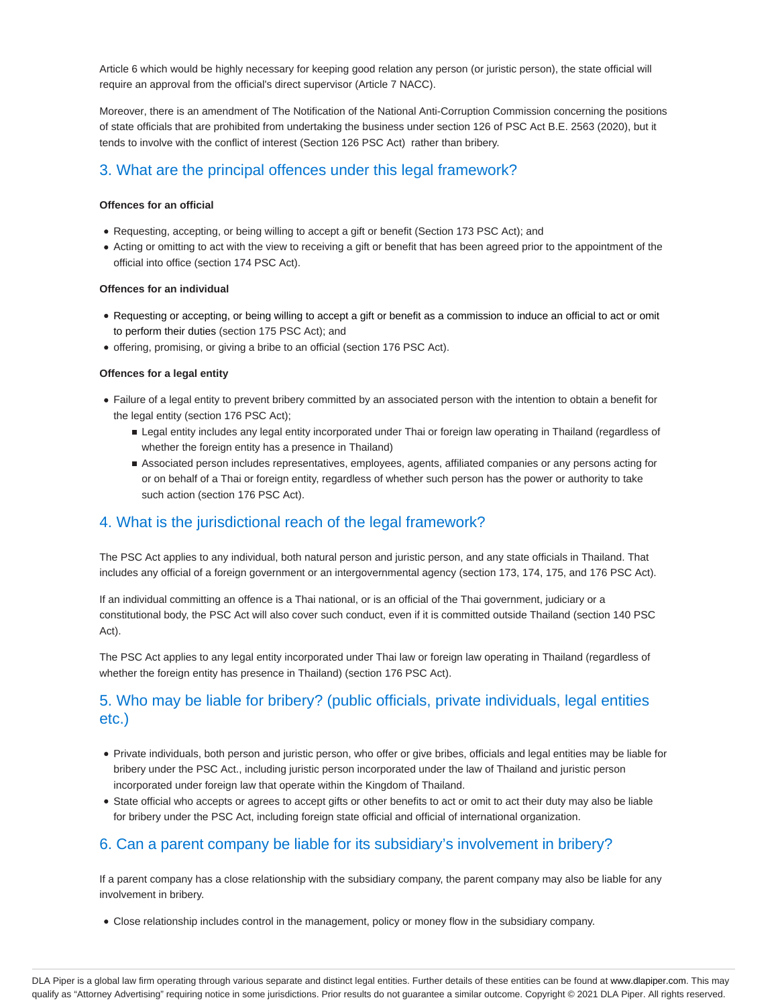Article 6 which would be highly necessary for keeping good relation any person (or juristic person), the state official will require an approval from the official's direct supervisor (Article 7 NACC).

Moreover, there is an amendment of The Notification of the National Anti-Corruption Commission concerning the positions of state officials that are prohibited from undertaking the business under section 126 of PSC Act B.E. 2563 (2020), but it tends to involve with the conflict of interest (Section 126 PSC Act) rather than bribery.

## 3. What are the principal offences under this legal framework?

#### **Offences for an official**

- Requesting, accepting, or being willing to accept a gift or benefit (Section 173 PSC Act); and
- Acting or omitting to act with the view to receiving a gift or benefit that has been agreed prior to the appointment of the official into office (section 174 PSC Act).

#### **Offences for an individual**

- Requesting or accepting, or being willing to accept a gift or benefit as a commission to induce an official to act or omit to perform their duties (section 175 PSC Act); and
- offering, promising, or giving a bribe to an official (section 176 PSC Act).

#### **Offences for a legal entity**

- Failure of a legal entity to prevent bribery committed by an associated person with the intention to obtain a benefit for the legal entity (section 176 PSC Act);
	- Legal entity includes any legal entity incorporated under Thai or foreign law operating in Thailand (regardless of whether the foreign entity has a presence in Thailand)
	- Associated person includes representatives, employees, agents, affiliated companies or any persons acting for or on behalf of a Thai or foreign entity, regardless of whether such person has the power or authority to take such action (section 176 PSC Act).

#### 4. What is the jurisdictional reach of the legal framework?

The PSC Act applies to any individual, both natural person and juristic person, and any state officials in Thailand. That includes any official of a foreign government or an intergovernmental agency (section 173, 174, 175, and 176 PSC Act).

If an individual committing an offence is a Thai national, or is an official of the Thai government, judiciary or a constitutional body, the PSC Act will also cover such conduct, even if it is committed outside Thailand (section 140 PSC Act).

The PSC Act applies to any legal entity incorporated under Thai law or foreign law operating in Thailand (regardless of whether the foreign entity has presence in Thailand) (section 176 PSC Act).

## 5. Who may be liable for bribery? (public officials, private individuals, legal entities etc.)

- Private individuals, both person and juristic person, who offer or give bribes, officials and legal entities may be liable for bribery under the PSC Act., including juristic person incorporated under the law of Thailand and juristic person incorporated under foreign law that operate within the Kingdom of Thailand.
- State official who accepts or agrees to accept gifts or other benefits to act or omit to act their duty may also be liable for bribery under the PSC Act, including foreign state official and official of international organization.

## 6. Can a parent company be liable for its subsidiary's involvement in bribery?

If a parent company has a close relationship with the subsidiary company, the parent company may also be liable for any involvement in bribery.

Close relationship includes control in the management, policy or money flow in the subsidiary company.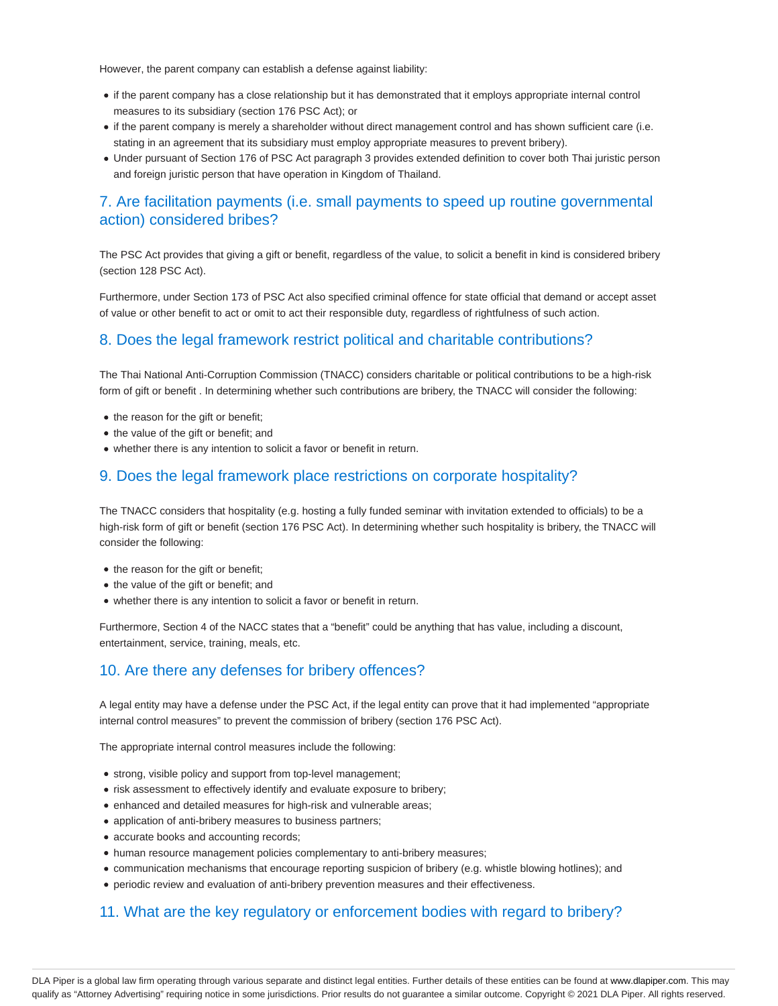However, the parent company can establish a defense against liability:

- if the parent company has a close relationship but it has demonstrated that it employs appropriate internal control measures to its subsidiary (section 176 PSC Act); or
- if the parent company is merely a shareholder without direct management control and has shown sufficient care (i.e. stating in an agreement that its subsidiary must employ appropriate measures to prevent bribery).
- Under pursuant of Section 176 of PSC Act paragraph 3 provides extended definition to cover both Thai juristic person and foreign juristic person that have operation in Kingdom of Thailand.

#### 7. Are facilitation payments (i.e. small payments to speed up routine governmental action) considered bribes?

The PSC Act provides that giving a gift or benefit, regardless of the value, to solicit a benefit in kind is considered bribery (section 128 PSC Act).

Furthermore, under Section 173 of PSC Act also specified criminal offence for state official that demand or accept asset of value or other benefit to act or omit to act their responsible duty, regardless of rightfulness of such action.

#### 8. Does the legal framework restrict political and charitable contributions?

The Thai National Anti-Corruption Commission (TNACC) considers charitable or political contributions to be a high-risk form of gift or benefit . In determining whether such contributions are bribery, the TNACC will consider the following:

- the reason for the gift or benefit;
- the value of the gift or benefit; and
- whether there is any intention to solicit a favor or benefit in return.

#### 9. Does the legal framework place restrictions on corporate hospitality?

The TNACC considers that hospitality (e.g. hosting a fully funded seminar with invitation extended to officials) to be a high-risk form of gift or benefit (section 176 PSC Act). In determining whether such hospitality is bribery, the TNACC will consider the following:

- the reason for the gift or benefit;
- the value of the gift or benefit; and
- whether there is any intention to solicit a favor or benefit in return.

Furthermore, Section 4 of the NACC states that a "benefit" could be anything that has value, including a discount, entertainment, service, training, meals, etc.

#### 10. Are there any defenses for bribery offences?

A legal entity may have a defense under the PSC Act, if the legal entity can prove that it had implemented "appropriate internal control measures" to prevent the commission of bribery (section 176 PSC Act).

The appropriate internal control measures include the following:

- strong, visible policy and support from top-level management;
- risk assessment to effectively identify and evaluate exposure to bribery;
- enhanced and detailed measures for high-risk and vulnerable areas;
- application of anti-bribery measures to business partners;
- accurate books and accounting records;
- human resource management policies complementary to anti-bribery measures;
- communication mechanisms that encourage reporting suspicion of bribery (e.g. whistle blowing hotlines); and
- periodic review and evaluation of anti-bribery prevention measures and their effectiveness.

#### 11. What are the key regulatory or enforcement bodies with regard to bribery?

DLA Piper is a global law firm operating through various separate and distinct legal entities. Further details of these entities can be found at www.dlapiper.com. This may qualify as "Attorney Advertising" requiring notice in some jurisdictions. Prior results do not guarantee a similar outcome. Copyright @ 2021 DLA Piper. All rights reserved.